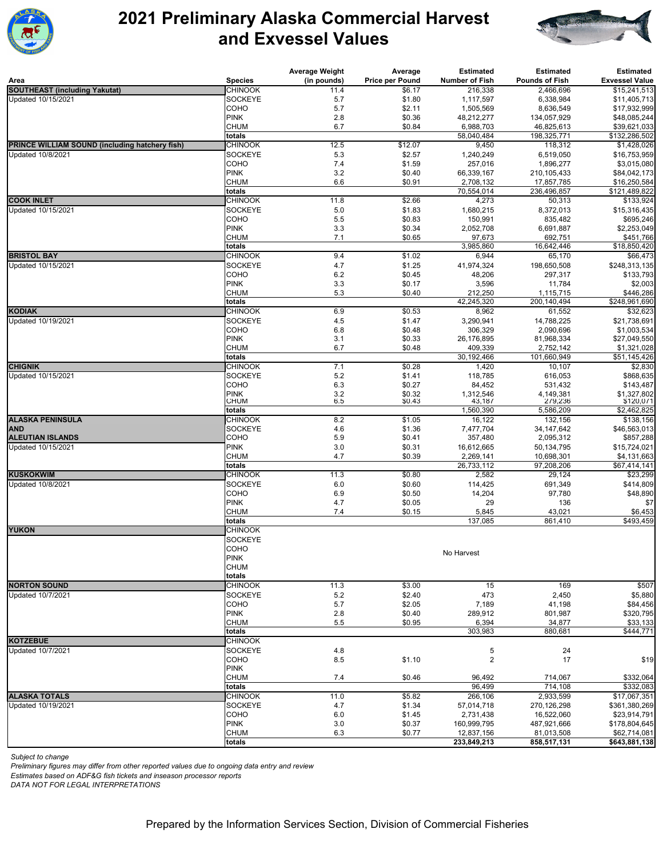

## **2021 Preliminary Alaska Commercial Harvest and Exvessel Values**



|                                                |                                  | <b>Average Weight</b>                     | Average          | <b>Estimated</b>        | <b>Estimated</b>         | <b>Estimated</b>             |
|------------------------------------------------|----------------------------------|-------------------------------------------|------------------|-------------------------|--------------------------|------------------------------|
| Area                                           | <b>Species</b>                   | (in pounds)                               | Price per Pound  | Number of Fish          | Pounds of Fish           | <b>Exvessel Value</b>        |
| <b>SOUTHEAST (including Yakutat)</b>           | <b>CHINOOK</b>                   | 11.4                                      | \$6.17           | 216,338                 | 2,466,696                | \$15,241,513                 |
| Updated 10/15/2021                             | <b>SOCKEYE</b><br>COHO           | 5.7                                       | \$1.80           | 1,117,597               | 6,338,984                | \$11,405,713<br>\$17,932,999 |
|                                                | <b>PINK</b>                      | 5.7<br>2.8                                | \$2.11<br>\$0.36 | 1,505,569<br>48,212,277 | 8,636,549<br>134,057,929 | \$48,085,244                 |
|                                                | <b>CHUM</b>                      | 6.7                                       | \$0.84           | 6,988,703               | 46,825,613               | \$39,621,033                 |
|                                                | totals                           |                                           |                  | 58,040,484              | 198,325,771              | \$132,286,502                |
| PRINCE WILLIAM SOUND (including hatchery fish) | <b>CHINOOK</b>                   | 12.5                                      | \$12.07          | 9,450                   | 118,312                  | \$1,428,026                  |
| Updated 10/8/2021                              | <b>SOCKEYE</b>                   | 5.3                                       | \$2.57           | 1,240,249               | 6,519,050                | \$16,753,959                 |
|                                                | COHO                             | 7.4                                       | \$1.59           | 257,016                 | 1,896,277                | \$3,015,080                  |
|                                                | <b>PINK</b>                      | 3.2                                       | \$0.40           | 66,339,167              | 210,105,433              | \$84,042,173                 |
|                                                | <b>CHUM</b>                      | 6.6                                       | \$0.91           | 2,708,132               | 17,857,785               | \$16,250,584                 |
|                                                | totals                           |                                           |                  | 70,554,014              | 236,496,857              | \$121,489,822                |
| <b>COOK INLET</b>                              | <b>CHINOOK</b><br><b>SOCKEYE</b> | 11.8                                      | \$2.66           | 4,273                   | 50,313                   | \$133,924                    |
| Updated 10/15/2021                             | COHO                             | 5.0<br>5.5                                | \$1.83<br>\$0.83 | 1,680,215<br>150,991    | 8,372,013<br>835,482     | \$15,316,435<br>\$695,246    |
|                                                | <b>PINK</b>                      | 3.3                                       | \$0.34           | 2,052,708               | 6,691,887                | \$2,253,049                  |
|                                                | <b>CHUM</b>                      | 7.1                                       | \$0.65           | 97,673                  | 692,751                  | \$451,766                    |
|                                                | totals                           |                                           |                  | 3,985,860               | 16,642,446               | \$18,850,420                 |
| <b>BRISTOL BAY</b>                             | <b>CHINOOK</b>                   | 9.4                                       | \$1.02           | 6,944                   | 65,170                   | \$66,473                     |
| Updated 10/15/2021                             | <b>SOCKEYE</b>                   | 4.7                                       | \$1.25           | 41,974,324              | 198,650,508              | \$248,313,135                |
|                                                | COHO                             | 6.2                                       | \$0.45           | 48,206                  | 297,317                  | \$133,793                    |
|                                                | <b>PINK</b>                      | 3.3                                       | \$0.17           | 3,596                   | 11,784                   | \$2,003                      |
|                                                | <b>CHUM</b>                      | 5.3                                       | \$0.40           | 212,250                 | 1,115,715                | \$446,286                    |
|                                                | totals                           |                                           |                  | 42,245,320              | 200,140,494              | \$248,961,690                |
| <b>KODIAK</b>                                  | <b>CHINOOK</b>                   | 6.9                                       | \$0.53           | 8,962                   | 61,552                   | \$32,623                     |
| Updated 10/19/2021                             | <b>SOCKEYE</b>                   | 4.5                                       | \$1.47           | 3,290,941               | 14,788,225               | \$21,738,691                 |
|                                                | COHO                             | 6.8                                       | \$0.48           | 306,329                 | 2,090,696                | \$1,003,534                  |
|                                                | <b>PINK</b><br><b>CHUM</b>       | 3.1<br>6.7                                | \$0.33<br>\$0.48 | 26,176,895<br>409,339   | 81,968,334<br>2,752,142  | \$27,049,550<br>\$1,321,028  |
|                                                | totals                           |                                           |                  | 30,192,466              | 101,660,949              | \$51,145,426                 |
| <b>CHIGNIK</b>                                 | <b>CHINOOK</b>                   | 7.1                                       | \$0.28           | 1,420                   | 10,107                   | \$2,830                      |
| Updated 10/15/2021                             | <b>SOCKEYE</b>                   | 5.2                                       | \$1.41           | 118,785                 | 616,053                  | \$868,635                    |
|                                                | COHO                             | 6.3                                       | \$0.27           | 84,452                  | 531,432                  | \$143,487                    |
|                                                | <b>PINK</b>                      | $\begin{array}{c} 3.2 \\ 6.5 \end{array}$ | \$0.32           | 1,312,546<br>43,187     | 4,149,381<br>279,236     | \$1,327,802                  |
|                                                | <b>CHUM</b>                      |                                           | \$0.43           |                         |                          | \$120,071                    |
| <b>ALASKA PENINSULA</b>                        | totals                           |                                           |                  | 1,560,390               | 5,586,209                | \$2,462,825                  |
| AND                                            | <b>CHINOOK</b><br><b>SOCKEYE</b> | 8.2<br>4.6                                | \$1.05<br>\$1.36 | 16,122<br>7,477,704     | 132,156<br>34, 147, 642  | \$138,156<br>\$46,563,013    |
| ALEUTIAN ISLANDS                               | COHO                             | 5.9                                       | \$0.41           | 357,480                 | 2,095,312                | \$857,288                    |
| Updated 10/15/2021                             | <b>PINK</b>                      | 3.0                                       | \$0.31           | 16,612,665              | 50,134,795               | \$15,724,021                 |
|                                                | <b>CHUM</b>                      | 4.7                                       | \$0.39           | 2,269,141               | 10,698,301               | \$4,131,663                  |
|                                                | totals                           |                                           |                  | 26,733,112              | 97,208,206               | \$67,414,141                 |
| <b>KUSKOKWIM</b>                               | <b>CHINOOK</b>                   | 11.3                                      | \$0.80           | 2,582                   | 29,124                   | \$23,299                     |
| Updated 10/8/2021                              | <b>SOCKEYE</b>                   | 6.0                                       | \$0.60           | 114,425                 | 691,349                  | \$414,809                    |
|                                                | COHO                             | 6.9                                       | \$0.50           | 14,204                  | 97,780                   | \$48,890                     |
|                                                | <b>PINK</b>                      | 4.7                                       | \$0.05           | 29                      | 136                      | \$7                          |
|                                                | <b>CHUM</b>                      | 7.4                                       | \$0.15           | 5,845                   | 43,021                   | \$6,453                      |
|                                                | totals                           |                                           |                  | 137,085                 | 861,410                  | \$493,459                    |
| <b>YUKON</b>                                   | <b>CHINOOK</b><br><b>SOCKEYE</b> |                                           |                  |                         |                          |                              |
|                                                | COHO                             |                                           |                  |                         |                          |                              |
|                                                | <b>PINK</b>                      |                                           |                  | No Harvest              |                          |                              |
|                                                | <b>CHUM</b>                      |                                           |                  |                         |                          |                              |
|                                                | totals                           |                                           |                  |                         |                          |                              |
| <b>NORTON SOUND</b>                            | <b>CHINOOK</b>                   | 11.3                                      | \$3.00           | 15                      | 169                      | \$507                        |
| Updated 10/7/2021                              | <b>SOCKEYE</b>                   | 5.2                                       | \$2.40           | 473                     | 2,450                    | \$5,880                      |
|                                                | COHO                             | 5.7                                       | \$2.05           | 7,189                   | 41,198                   | \$84,456                     |
|                                                | <b>PINK</b>                      | 2.8                                       | \$0.40           | 289,912                 | 801,987                  | \$320,795                    |
|                                                | <b>CHUM</b>                      | 5.5                                       | \$0.95           | 6,394                   | 34,877                   | \$33,133                     |
|                                                | totals                           |                                           |                  | 303,983                 | 880,681                  | \$444,771                    |
| <b>KOTZEBUE</b>                                | <b>CHINOOK</b>                   |                                           |                  |                         |                          |                              |
| Updated 10/7/2021                              | <b>SOCKEYE</b><br>COHO           | 4.8                                       | \$1.10           | 5<br>$\sqrt{2}$         | 24<br>17                 |                              |
|                                                | <b>PINK</b>                      | 8.5                                       |                  |                         |                          | \$19                         |
|                                                | <b>CHUM</b>                      | 7.4                                       | \$0.46           | 96,492                  | 714,067                  | \$332,064                    |
|                                                | totals                           |                                           |                  | 96,499                  | 714,108                  | \$332,083                    |
| <b>ALASKA TOTALS</b>                           | <b>CHINOOK</b>                   | 11.0                                      | \$5.82           | 266,106                 | 2,933,599                | \$17,067,351                 |
| Updated 10/19/2021                             | SOCKEYE                          | 4.7                                       | \$1.34           | 57,014,718              | 270,126,298              | \$361,380,269                |
|                                                | COHO                             | 6.0                                       | \$1.45           | 2,731,438               | 16,522,060               | \$23,914,791                 |
|                                                | <b>PINK</b>                      | 3.0                                       | \$0.37           | 160,999,795             | 487,921,666              | \$178,804,645                |
|                                                | <b>CHUM</b>                      | 6.3                                       | \$0.77           | 12,837,156              | 81,013,508               | \$62,714,081                 |
|                                                | totals                           |                                           |                  | 233,849,213             | 858,517,131              | \$643,881,138                |

*Subject to change* 

*Preliminary figures may differ from other reported values due to ongoing data entry and review* 

*Estimates based on ADF&G fish tickets and inseason processor reports* 

*DATA NOT FOR LEGAL INTERPRETATIONS*